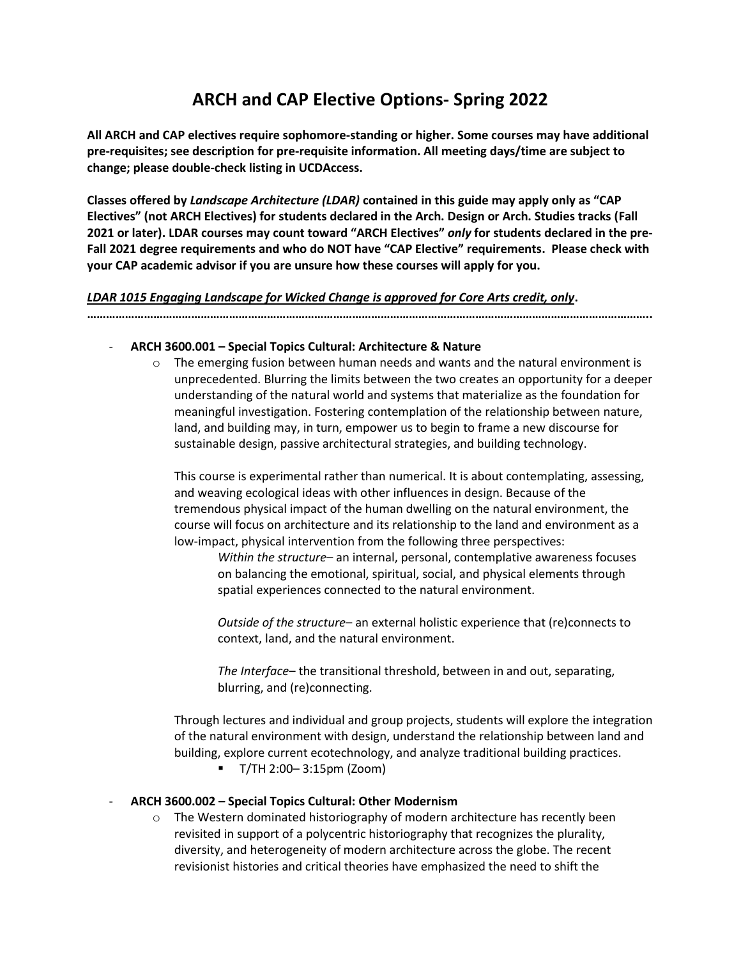# **ARCH and CAP Elective Options- Spring 2022**

**All ARCH and CAP electives require sophomore-standing or higher. Some courses may have additional pre-requisites; see description for pre-requisite information. All meeting days/time are subject to change; please double-check listing in UCDAccess.**

**Classes offered by** *Landscape Architecture (LDAR)* **contained in this guide may apply only as "CAP Electives" (not ARCH Electives) for students declared in the Arch. Design or Arch. Studies tracks (Fall 2021 or later). LDAR courses may count toward "ARCH Electives"** *only* **for students declared in the pre-Fall 2021 degree requirements and who do NOT have "CAP Elective" requirements. Please check with your CAP academic advisor if you are unsure how these courses will apply for you.**

### *LDAR 1015 Engaging Landscape for Wicked Change is approved for Core Arts credit, only***.**

**……………………………………………………………………………………………………………………………………………………………..**

### - **ARCH 3600.001 – Special Topics Cultural: Architecture & Nature**

 $\circ$  The emerging fusion between human needs and wants and the natural environment is unprecedented. Blurring the limits between the two creates an opportunity for a deeper understanding of the natural world and systems that materialize as the foundation for meaningful investigation. Fostering contemplation of the relationship between nature, land, and building may, in turn, empower us to begin to frame a new discourse for sustainable design, passive architectural strategies, and building technology.

This course is experimental rather than numerical. It is about contemplating, assessing, and weaving ecological ideas with other influences in design. Because of the tremendous physical impact of the human dwelling on the natural environment, the course will focus on architecture and its relationship to the land and environment as a low-impact, physical intervention from the following three perspectives:

*Within the structure*– an internal, personal, contemplative awareness focuses on balancing the emotional, spiritual, social, and physical elements through spatial experiences connected to the natural environment.

*Outside of the structure*– an external holistic experience that (re)connects to context, land, and the natural environment.

*The Interface*– the transitional threshold, between in and out, separating, blurring, and (re)connecting.

Through lectures and individual and group projects, students will explore the integration of the natural environment with design, understand the relationship between land and building, explore current ecotechnology, and analyze traditional building practices.

▪ T/TH 2:00– 3:15pm (Zoom)

### - **ARCH 3600.002 – Special Topics Cultural: Other Modernism**

o The Western dominated historiography of modern architecture has recently been revisited in support of a polycentric historiography that recognizes the plurality, diversity, and heterogeneity of modern architecture across the globe. The recent revisionist histories and critical theories have emphasized the need to shift the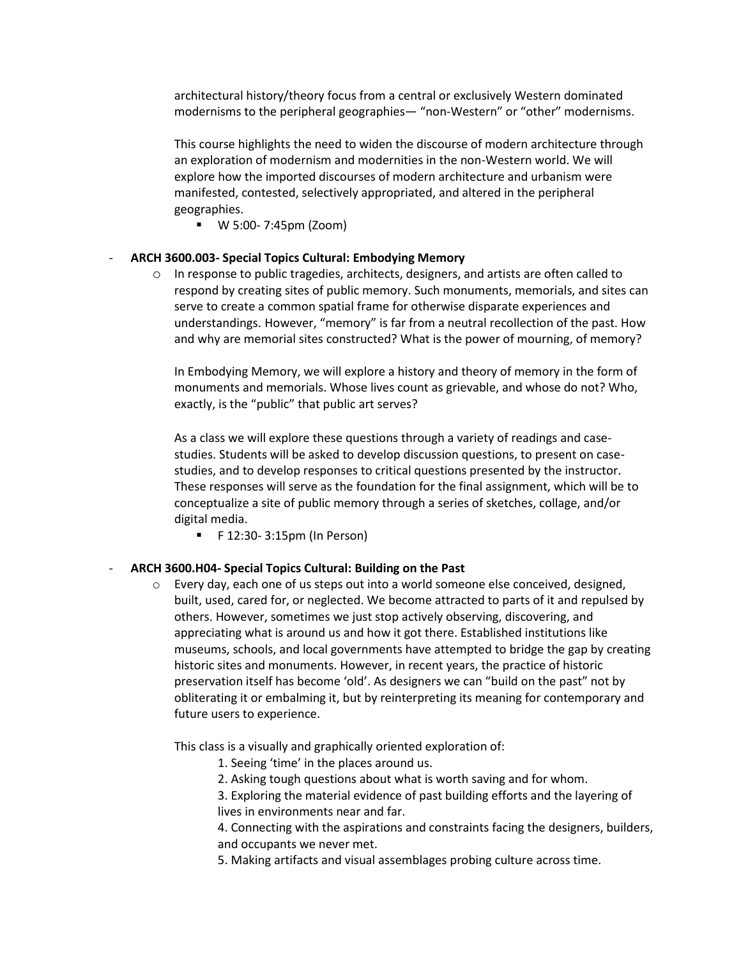architectural history/theory focus from a central or exclusively Western dominated modernisms to the peripheral geographies— "non-Western" or "other" modernisms.

This course highlights the need to widen the discourse of modern architecture through an exploration of modernism and modernities in the non-Western world. We will explore how the imported discourses of modern architecture and urbanism were manifested, contested, selectively appropriated, and altered in the peripheral geographies.

▪ W 5:00- 7:45pm (Zoom)

#### - **ARCH 3600.003- Special Topics Cultural: Embodying Memory**

 $\circ$  In response to public tragedies, architects, designers, and artists are often called to respond by creating sites of public memory. Such monuments, memorials, and sites can serve to create a common spatial frame for otherwise disparate experiences and understandings. However, "memory" is far from a neutral recollection of the past. How and why are memorial sites constructed? What is the power of mourning, of memory?

In Embodying Memory, we will explore a history and theory of memory in the form of monuments and memorials. Whose lives count as grievable, and whose do not? Who, exactly, is the "public" that public art serves?

As a class we will explore these questions through a variety of readings and casestudies. Students will be asked to develop discussion questions, to present on casestudies, and to develop responses to critical questions presented by the instructor. These responses will serve as the foundation for the final assignment, which will be to conceptualize a site of public memory through a series of sketches, collage, and/or digital media.

 $\blacksquare$  F 12:30-3:15pm (In Person)

#### - **ARCH 3600.H04- Special Topics Cultural: Building on the Past**

 $\circ$  Every day, each one of us steps out into a world someone else conceived, designed, built, used, cared for, or neglected. We become attracted to parts of it and repulsed by others. However, sometimes we just stop actively observing, discovering, and appreciating what is around us and how it got there. Established institutions like museums, schools, and local governments have attempted to bridge the gap by creating historic sites and monuments. However, in recent years, the practice of historic preservation itself has become 'old'. As designers we can "build on the past" not by obliterating it or embalming it, but by reinterpreting its meaning for contemporary and future users to experience.

This class is a visually and graphically oriented exploration of:

- 1. Seeing 'time' in the places around us.
- 2. Asking tough questions about what is worth saving and for whom.

3. Exploring the material evidence of past building efforts and the layering of lives in environments near and far.

4. Connecting with the aspirations and constraints facing the designers, builders, and occupants we never met.

5. Making artifacts and visual assemblages probing culture across time.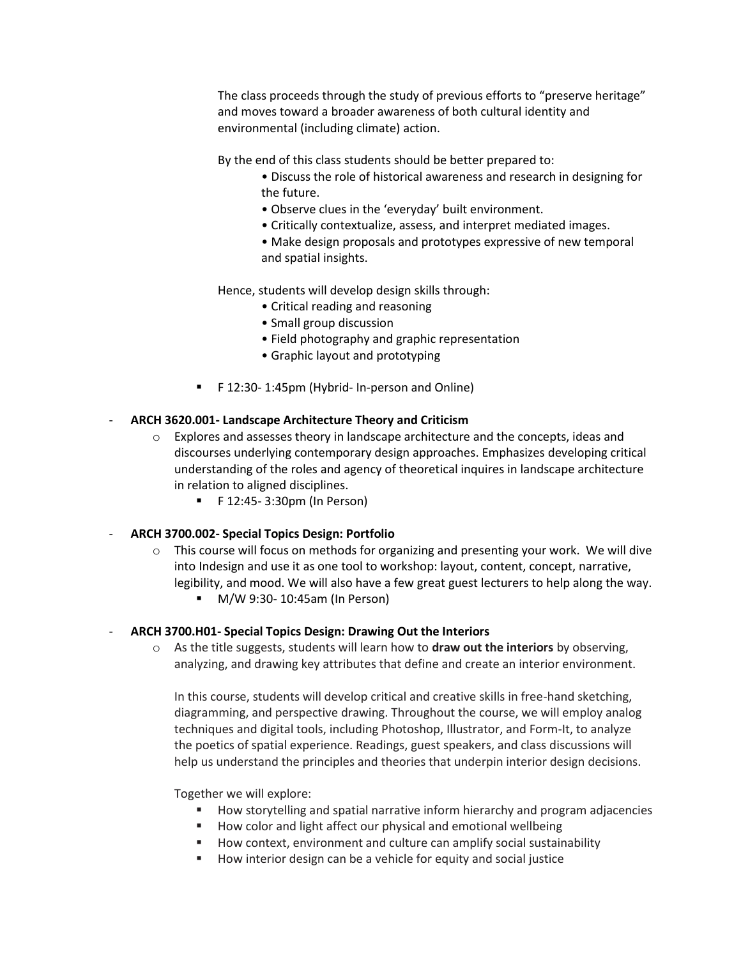The class proceeds through the study of previous efforts to "preserve heritage" and moves toward a broader awareness of both cultural identity and environmental (including climate) action.

By the end of this class students should be better prepared to:

- Discuss the role of historical awareness and research in designing for the future.
- Observe clues in the 'everyday' built environment.
- Critically contextualize, assess, and interpret mediated images.
- Make design proposals and prototypes expressive of new temporal and spatial insights.

Hence, students will develop design skills through:

- Critical reading and reasoning
- Small group discussion
- Field photography and graphic representation
- Graphic layout and prototyping
- F 12:30- 1:45pm (Hybrid- In-person and Online)

# - **ARCH 3620.001- Landscape Architecture Theory and Criticism**

- $\circ$  Explores and assesses theory in landscape architecture and the concepts, ideas and discourses underlying contemporary design approaches. Emphasizes developing critical understanding of the roles and agency of theoretical inquires in landscape architecture in relation to aligned disciplines.
	- F 12:45- 3:30pm (In Person)

### - **ARCH 3700.002- Special Topics Design: Portfolio**

- $\circ$  This course will focus on methods for organizing and presenting your work. We will dive into Indesign and use it as one tool to workshop: layout, content, concept, narrative, legibility, and mood. We will also have a few great guest lecturers to help along the way.
	- M/W 9:30- 10:45am (In Person)

### - **ARCH 3700.H01- Special Topics Design: Drawing Out the Interiors**

o As the title suggests, students will learn how to **draw out the interiors** by observing, analyzing, and drawing key attributes that define and create an interior environment.

In this course, students will develop critical and creative skills in free-hand sketching, diagramming, and perspective drawing. Throughout the course, we will employ analog techniques and digital tools, including Photoshop, Illustrator, and Form-It, to analyze the poetics of spatial experience. Readings, guest speakers, and class discussions will help us understand the principles and theories that underpin interior design decisions.

Together we will explore:

- How storytelling and spatial narrative inform hierarchy and program adjacencies
- How color and light affect our physical and emotional wellbeing
- How context, environment and culture can amplify social sustainability
- How interior design can be a vehicle for equity and social justice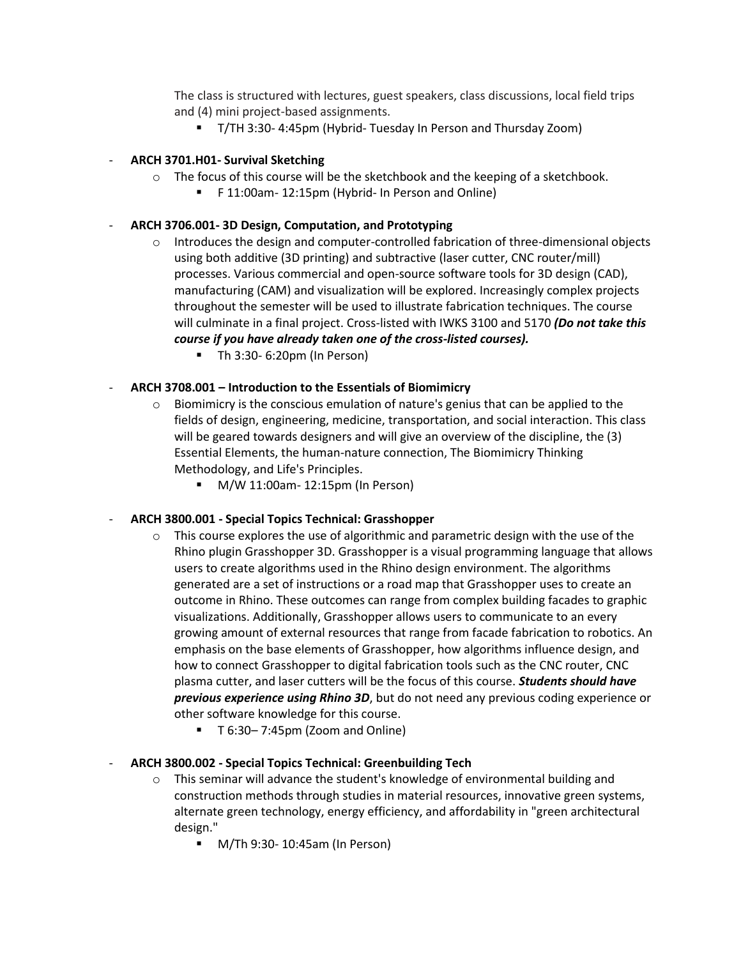The class is structured with lectures, guest speakers, class discussions, local field trips and (4) mini project-based assignments.

▪ T/TH 3:30- 4:45pm (Hybrid- Tuesday In Person and Thursday Zoom)

## - **ARCH 3701.H01- Survival Sketching**

- $\circ$  The focus of this course will be the sketchbook and the keeping of a sketchbook.
	- F 11:00am- 12:15pm (Hybrid- In Person and Online)

### - **ARCH 3706.001- 3D Design, Computation, and Prototyping**

- $\circ$  Introduces the design and computer-controlled fabrication of three-dimensional objects using both additive (3D printing) and subtractive (laser cutter, CNC router/mill) processes. Various commercial and open-source software tools for 3D design (CAD), manufacturing (CAM) and visualization will be explored. Increasingly complex projects throughout the semester will be used to illustrate fabrication techniques. The course will culminate in a final project. Cross-listed with IWKS 3100 and 5170 *(Do not take this course if you have already taken one of the cross-listed courses).*
	- Th 3:30- 6:20pm (In Person)

# - **ARCH 3708.001 – Introduction to the Essentials of Biomimicry**

- $\circ$  Biomimicry is the conscious emulation of nature's genius that can be applied to the fields of design, engineering, medicine, transportation, and social interaction. This class will be geared towards designers and will give an overview of the discipline, the (3) Essential Elements, the human-nature connection, The Biomimicry Thinking Methodology, and Life's Principles.
	- M/W 11:00am- 12:15pm (In Person)

### - **ARCH 3800.001 - Special Topics Technical: Grasshopper**

- $\circ$  This course explores the use of algorithmic and parametric design with the use of the Rhino plugin Grasshopper 3D. Grasshopper is a visual programming language that allows users to create algorithms used in the Rhino design environment. The algorithms generated are a set of instructions or a road map that Grasshopper uses to create an outcome in Rhino. These outcomes can range from complex building facades to graphic visualizations. Additionally, Grasshopper allows users to communicate to an every growing amount of external resources that range from facade fabrication to robotics. An emphasis on the base elements of Grasshopper, how algorithms influence design, and how to connect Grasshopper to digital fabrication tools such as the CNC router, CNC plasma cutter, and laser cutters will be the focus of this course. *Students should have previous experience using Rhino 3D*, but do not need any previous coding experience or other software knowledge for this course.
	- T 6:30–7:45pm (Zoom and Online)

### - **ARCH 3800.002 - Special Topics Technical: Greenbuilding Tech**

- $\circ$  This seminar will advance the student's knowledge of environmental building and construction methods through studies in material resources, innovative green systems, alternate green technology, energy efficiency, and affordability in "green architectural design."
	- M/Th 9:30- 10:45am (In Person)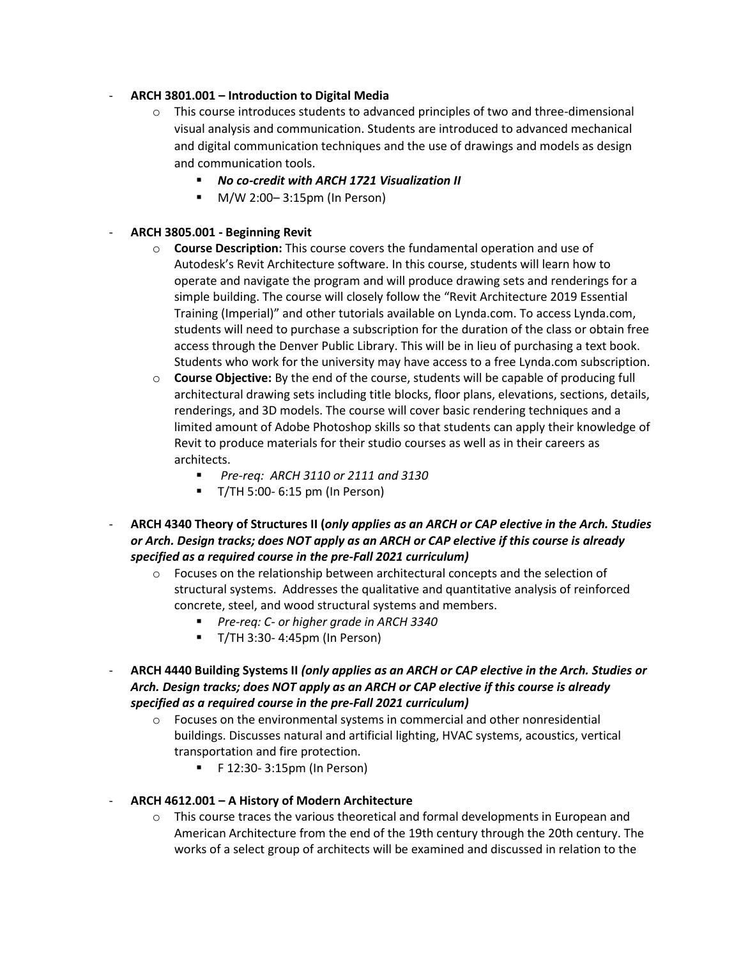# - **ARCH 3801.001 – Introduction to Digital Media**

- $\circ$  This course introduces students to advanced principles of two and three-dimensional visual analysis and communication. Students are introduced to advanced mechanical and digital communication techniques and the use of drawings and models as design and communication tools.
	- **No co-credit with ARCH 1721 Visualization II**
	- M/W 2:00–3:15pm (In Person)

# - **ARCH 3805.001 - Beginning Revit**

- o **Course Description:** This course covers the fundamental operation and use of Autodesk's Revit Architecture software. In this course, students will learn how to operate and navigate the program and will produce drawing sets and renderings for a simple building. The course will closely follow the "Revit Architecture 2019 Essential Training (Imperial)" and other tutorials available on Lynda.com. To access Lynda.com, students will need to purchase a subscription for the duration of the class or obtain free access through the Denver Public Library. This will be in lieu of purchasing a text book. Students who work for the university may have access to a free Lynda.com subscription.
- o **Course Objective:** By the end of the course, students will be capable of producing full architectural drawing sets including title blocks, floor plans, elevations, sections, details, renderings, and 3D models. The course will cover basic rendering techniques and a limited amount of Adobe Photoshop skills so that students can apply their knowledge of Revit to produce materials for their studio courses as well as in their careers as architects.
	- *Pre-req: ARCH 3110 or 2111 and 3130*
	- T/TH 5:00- 6:15 pm (In Person)
- **ARCH 4340 Theory of Structures II (***only applies as an ARCH or CAP elective in the Arch. Studies or Arch. Design tracks; does NOT apply as an ARCH or CAP elective if this course is already specified as a required course in the pre-Fall 2021 curriculum)*
	- $\circ$  Focuses on the relationship between architectural concepts and the selection of structural systems. Addresses the qualitative and quantitative analysis of reinforced concrete, steel, and wood structural systems and members.
		- *Pre-req: C- or higher grade in ARCH 3340*
		- T/TH 3:30- 4:45pm (In Person)
- **ARCH 4440 Building Systems II** *(only applies as an ARCH or CAP elective in the Arch. Studies or Arch. Design tracks; does NOT apply as an ARCH or CAP elective if this course is already specified as a required course in the pre-Fall 2021 curriculum)*
	- $\circ$  Focuses on the environmental systems in commercial and other nonresidential buildings. Discusses natural and artificial lighting, HVAC systems, acoustics, vertical transportation and fire protection.
		- F 12:30- 3:15pm (In Person)
- **ARCH 4612.001 – A History of Modern Architecture**
	- $\circ$  This course traces the various theoretical and formal developments in European and American Architecture from the end of the 19th century through the 20th century. The works of a select group of architects will be examined and discussed in relation to the